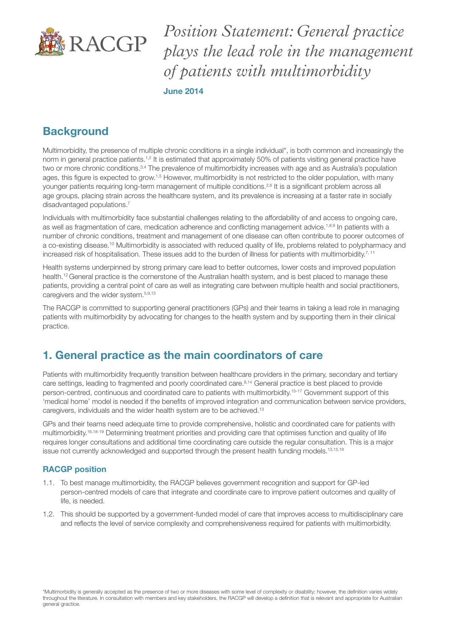

*Position Statement: General practice plays the lead role in the management of patients with multimorbidity* June 2014

# **Background**

Multimorbidity, the presence of multiple chronic conditions in a single individual\*, is both common and increasingly the norm in general practice patients.<sup>1,2</sup> It is estimated that approximately 50% of patients visiting general practice have two or more chronic conditions.3,4 The prevalence of multimorbidity increases with age and as Australia's population ages, this figure is expected to grow.<sup>1,5</sup> However, multimorbidity is not restricted to the older population, with many younger patients requiring long-term management of multiple conditions.<sup>2,6</sup> It is a significant problem across all age groups, placing strain across the healthcare system, and its prevalence is increasing at a faster rate in socially disadvantaged populations.<sup>7</sup>

Individuals with multimorbidity face substantial challenges relating to the affordability of and access to ongoing care, as well as fragmentation of care, medication adherence and conflicting management advice.<sup>1,8,9</sup> In patients with a number of chronic conditions, treatment and management of one disease can often contribute to poorer outcomes of a co-existing disease.<sup>10</sup> Multimorbidity is associated with reduced quality of life, problems related to polypharmacy and increased risk of hospitalisation. These issues add to the burden of illness for patients with multimorbidity.<sup>7, 11</sup>

Health systems underpinned by strong primary care lead to better outcomes, lower costs and improved population health.12 General practice is the cornerstone of the Australian health system, and is best placed to manage these patients, providing a central point of care as well as integrating care between multiple health and social practitioners, caregivers and the wider system.5,9,13

The RACGP is committed to supporting general practitioners (GPs) and their teams in taking a lead role in managing patients with multimorbidity by advocating for changes to the health system and by supporting them in their clinical practice.

## 1. General practice as the main coordinators of care

Patients with multimorbidity frequently transition between healthcare providers in the primary, secondary and tertiary care settings, leading to fragmented and poorly coordinated care.<sup>8,14</sup> General practice is best placed to provide person-centred, continuous and coordinated care to patients with multimorbidity.15-17 Government support of this 'medical home' model is needed if the benefits of improved integration and communication between service providers, caregivers, individuals and the wider health system are to be achieved.13

GPs and their teams need adequate time to provide comprehensive, holistic and coordinated care for patients with multimorbidity.16,18-19 Determining treatment priorities and providing care that optimises function and quality of life requires longer consultations and additional time coordinating care outside the regular consultation. This is a major issue not currently acknowledged and supported through the present health funding models.13,15,18

### RACGP position

- 1.1. To best manage multimorbidity, the RACGP believes government recognition and support for GP-led person-centred models of care that integrate and coordinate care to improve patient outcomes and quality of life, is needed.
- 1.2. This should be supported by a government-funded model of care that improves access to multidisciplinary care and reflects the level of service complexity and comprehensiveness required for patients with multimorbidity.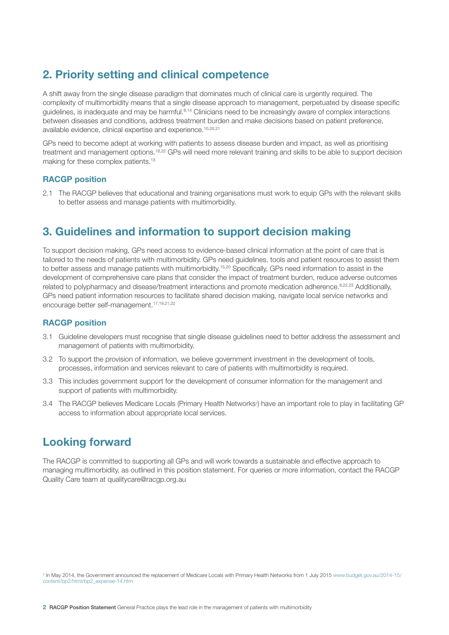# 2. Priority setting and clinical competence

A shift away from the single disease paradigm that dominates much of clinical care is urgently required. The complexity of multimorbidity means that a single disease approach to management, perpetuated by disease specific guidelines, is inadequate and may be harmful.<sup>8,14</sup> Clinicians need to be increasingly aware of complex interactions between diseases and conditions, address treatment burden and make decisions based on patient preference, available evidence, clinical expertise and experience.10,20,21

GPs need to become adept at working with patients to assess disease burden and impact, as well as prioritising treatment and management options.<sup>18,22</sup> GPs will need more relevant training and skills to be able to support decision making for these complex patients.<sup>13</sup>

#### RACGP position

2.1 The RACGP believes that educational and training organisations must work to equip GPs with the relevant skills to better assess and manage patients with multimorbidity.

### 3. Guidelines and information to support decision making

To support decision making, GPs need access to evidence-based clinical information at the point of care that is tailored to the needs of patients with multimorbidity. GPs need guidelines, tools and patient resources to assist them to better assess and manage patients with multimorbidity.<sup>15,20</sup> Specifically, GPs need information to assist in the development of comprehensive care plans that consider the impact of treatment burden, reduce adverse outcomes related to polypharmacy and disease/treatment interactions and promote medication adherence.8,22,23 Additionally, GPs need patient information resources to facilitate shared decision making, navigate local service networks and encourage better self-management.17,19,21,22

#### RACGP position

- 3.1 Guideline developers must recognise that single disease guidelines need to better address the assessment and management of patients with multimorbidity.
- 3.2 To support the provision of information, we believe government investment in the development of tools, processes, information and services relevant to care of patients with multimorbidity is required.
- 3.3 This includes government support for the development of consumer information for the management and support of patients with multimorbidity.
- 3.4 The RACGP believes Medicare Locals (Primary Health Networks† ) have an important role to play in facilitating GP access to information about appropriate local services.

### Looking forward

The RACGP is committed to supporting all GPs and will work towards a sustainable and effective approach to managing multimorbidity, as outlined in this position statement. For queries or more information, contact the RACGP Quality Care team at qualitycare@racgp.org.au

<sup>†</sup> In May 2014, the Government announced the replacement of Medicare Locals with Primary Health Networks from 1 July 2015 www.budget.gov.au/2014-15/ content/bp2/html/bp2\_expense-14.htm